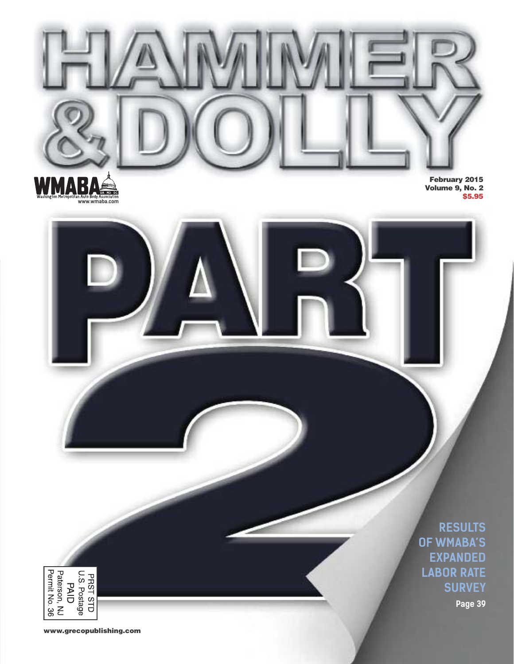

**RESULTS OF WMABA'S EXPANDED LABOR RATE SURVEY**

**Page 39**

**www.grecopublishing.com**

PRST STD<br>U.S. Postage<br>Paterson, NJ<br>Permit No. 36<br>Permit No. 36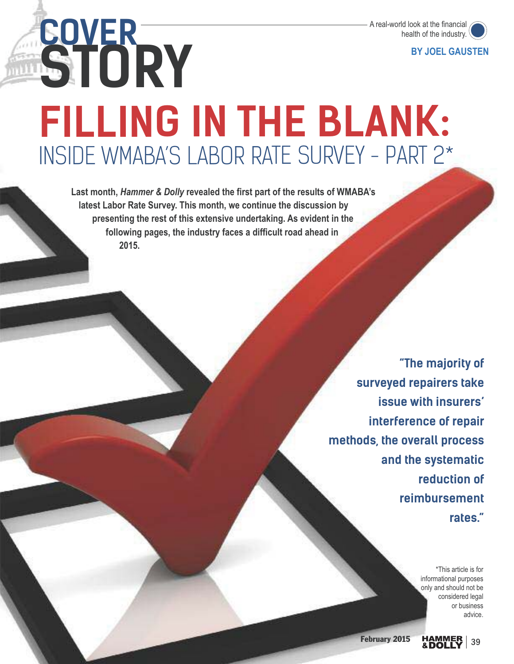

**BY JOEL GAUSTEN**

# **STORY COVER FILLING IN THE BLANK:** INSIDE WMABA'S LABOR RATE SURVEY - PART 2\*

**Last month,** *Hammer & Dolly* **revealed the first part of the results of WMABA's latest Labor Rate Survey. This month, we continue the discussion by presenting the rest of this extensive undertaking. As evident in the following pages, the industry faces a difficult road ahead in 2015.** 

> **"The majority of surveyed repairers take issue with insurers' interference of repair methods, the overall process and the systematic reduction of reimbursement rates."**

> > \*This article is for informational purposes only and should not be considered legal or business advice.

**February 2015 HAMMER** 39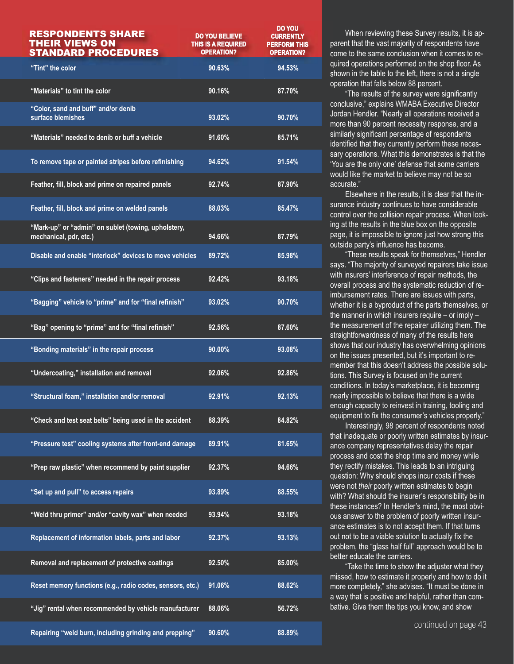| <b>RESPONDENTS SHARE</b><br><b>THEIR VIEWS ON</b><br><b>STANDARD PROCEDURES</b> | <b>DO YOU BELIEVE</b><br>THIS IS A REQUIRED<br><b>OPERATION?</b> | <b>DO YOU</b><br><b>CURRENTLY</b><br><b>PERFORM THIS</b><br><b>OPERATION?</b> |
|---------------------------------------------------------------------------------|------------------------------------------------------------------|-------------------------------------------------------------------------------|
| "Tint" the color                                                                | 90.63%                                                           | 94.53%                                                                        |
| "Materials" to tint the color                                                   | 90.16%                                                           | 87.70%                                                                        |
| "Color, sand and buff" and/or denib<br>surface blemishes                        | 93.02%                                                           | 90.70%                                                                        |
| "Materials" needed to denib or buff a vehicle                                   | 91.60%                                                           | 85.71%                                                                        |
| To remove tape or painted stripes before refinishing                            | 94.62%                                                           | 91.54%                                                                        |
| Feather, fill, block and prime on repaired panels                               | 92.74%                                                           | 87.90%                                                                        |
| Feather, fill, block and prime on welded panels                                 | 88.03%                                                           | 85.47%                                                                        |
| "Mark-up" or "admin" on sublet (towing, upholstery,<br>mechanical, pdr, etc.)   | 94.66%                                                           | 87.79%                                                                        |
| Disable and enable "interlock" devices to move vehicles                         | 89.72%                                                           | 85.98%                                                                        |
| "Clips and fasteners" needed in the repair process                              | 92.42%                                                           | 93.18%                                                                        |
| "Bagging" vehicle to "prime" and for "final refinish"                           | 93.02%                                                           | 90.70%                                                                        |
| "Bag" opening to "prime" and for "final refinish"                               | 92.56%                                                           | 87.60%                                                                        |
| "Bonding materials" in the repair process                                       | 90.00%                                                           | 93.08%                                                                        |
| "Undercoating," installation and removal                                        | 92.06%                                                           | 92.86%                                                                        |
| "Structural foam." installation and/or removal                                  | 92.91%                                                           | 92.13%                                                                        |
| "Check and test seat belts" being used in the accident                          | 88.39%                                                           | 84.82%                                                                        |
| "Pressure test" cooling systems after front-end damage                          | 89.91%                                                           | 81.65%                                                                        |
| "Prep raw plastic" when recommend by paint supplier                             | 92.37%                                                           | 94.66%                                                                        |
| "Set up and pull" to access repairs                                             | 93.89%                                                           | 88.55%                                                                        |
| "Weld thru primer" and/or "cavity wax" when needed                              | 93.94%                                                           | 93.18%                                                                        |
| Replacement of information labels, parts and labor                              | 92.37%                                                           | 93.13%                                                                        |
| Removal and replacement of protective coatings                                  | 92.50%                                                           | 85.00%                                                                        |
| Reset memory functions (e.g., radio codes, sensors, etc.)                       | 91.06%                                                           | 88.62%                                                                        |
| "Jig" rental when recommended by vehicle manufacturer                           | 88.06%                                                           | 56.72%                                                                        |
| Repairing "weld burn, including grinding and prepping"                          | 90.60%                                                           | 88.89%                                                                        |

When reviewing these Survey results, it is apparent that the vast majority of respondents have come to the same conclusion when it comes to required operations performed on the shop floor. As shown in the table to the left, there is not a single operation that falls below 88 percent.

"The results of the survey were significantly conclusive," explains WMABA Executive Director Jordan Hendler. "Nearly all operations received a more than 90 percent necessity response, and a similarly significant percentage of respondents identified that they currently perform these necessary operations. What this demonstrates is that the 'You are the only one' defense that some carriers would like the market to believe may not be so accurate."

Elsewhere in the results, it is clear that the insurance industry continues to have considerable control over the collision repair process. When looking at the results in the blue box on the opposite page, it is impossible to ignore just how strong this outside party's influence has become.

"These results speak for themselves," Hendler says. "The majority of surveyed repairers take issue with insurers' interference of repair methods, the overall process and the systematic reduction of reimbursement rates. There are issues with parts, whether it is a byproduct of the parts themselves, or the manner in which insurers require – or imply – the measurement of the repairer utilizing them. The straightforwardness of many of the results here shows that our industry has overwhelming opinions on the issues presented, but it's important to remember that this doesn't address the possible solutions. This Survey is focused on the current conditions. In today's marketplace, it is becoming nearly impossible to believe that there is a wide enough capacity to reinvest in training, tooling and equipment to fix the consumer's vehicles properly."

Interestingly, 98 percent of respondents noted that inadequate or poorly written estimates by insurance company representatives delay the repair process and cost the shop time and money while they rectify mistakes. This leads to an intriguing question: Why should shops incur costs if these were not *their* poorly written estimates to begin with? What should the insurer's responsibility be in these instances? In Hendler's mind, the most obvious answer to the problem of poorly written insurance estimates is to not accept them. If that turns out not to be a viable solution to actually fix the problem, the "glass half full" approach would be to better educate the carriers.

"Take the time to show the adjuster what they missed, how to estimate it properly and how to do it more completely," she advises. "It must be done in a way that is positive and helpful, rather than combative. Give them the tips you know, and show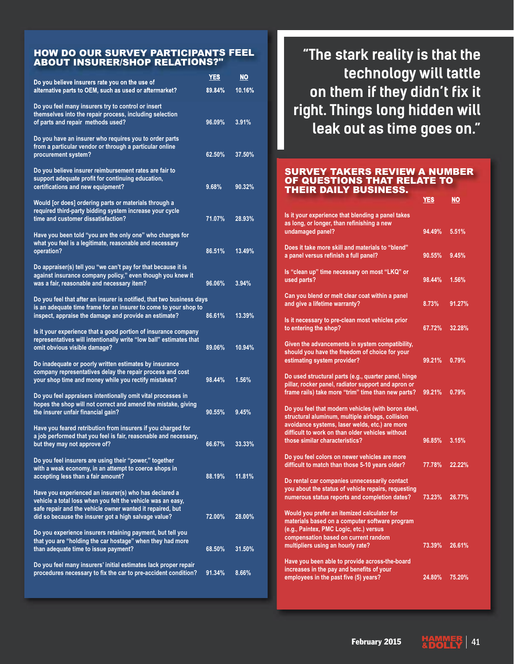#### HOW DO OUR SURVEY PARTICIPANTS FEEL ABOUT INSURER/SHOP RELATIONS?"

| Do you believe insurers rate you on the use of                                                                                                                                                                                            | <b>YES</b> | <u>NO</u> |
|-------------------------------------------------------------------------------------------------------------------------------------------------------------------------------------------------------------------------------------------|------------|-----------|
| alternative parts to OEM, such as used or aftermarket?                                                                                                                                                                                    | 89.84%     | 10.16%    |
| Do you feel many insurers try to control or insert<br>themselves into the repair process, including selection<br>of parts and repair methods used?                                                                                        | 96.09%     | 3.91%     |
| Do you have an insurer who requires you to order parts<br>from a particular vendor or through a particular online<br>procurement system?                                                                                                  | 62.50%     | 37.50%    |
| Do you believe insurer reimbursement rates are fair to<br>support adequate profit for continuing education,<br>certifications and new equipment?                                                                                          | 9.68%      | 90.32%    |
| Would [or does] ordering parts or materials through a<br>required third-party bidding system increase your cycle<br>time and customer dissatisfaction?                                                                                    | 71.07%     | 28.93%    |
| Have you been told "you are the only one" who charges for<br>what you feel is a legitimate, reasonable and necessary<br>operation?                                                                                                        | 86.51%     | 13.49%    |
| Do appraiser(s) tell you "we can't pay for that because it is<br>against insurance company policy," even though you knew it<br>was a fair, reasonable and necessary item?                                                                 | 96.06%     | 3.94%     |
| Do you feel that after an insurer is notified, that two business days<br>is an adequate time frame for an insurer to come to your shop to<br>inspect, appraise the damage and provide an estimate?                                        | 86.61%     | 13.39%    |
| Is it your experience that a good portion of insurance company<br>representatives will intentionally write "low ball" estimates that<br>omit obvious visible damage?                                                                      | 89.06%     | 10.94%    |
| Do inadequate or poorly written estimates by insurance<br>company representatives delay the repair process and cost<br>your shop time and money while you rectify mistakes?                                                               | 98.44%     | 1.56%     |
| Do you feel appraisers intentionally omit vital processes in<br>hopes the shop will not correct and amend the mistake, giving<br>the insurer unfair financial gain?                                                                       | 90.55%     | 9.45%     |
| Have you feared retribution from insurers if you charged for<br>a job performed that you feel is fair, reasonable and necessary,<br>but they may not approve of?                                                                          | 66.67%     | 33.33%    |
| Do you feel insurers are using their "power," together<br>with a weak economy, in an attempt to coerce shops in<br>accepting less than a fair amount?                                                                                     | 88.19%     | 11.81%    |
| Have you experienced an insurer(s) who has declared a<br>vehicle a total loss when you felt the vehicle was an easy,<br>safe repair and the vehicle owner wanted it repaired, but<br>did so because the insurer got a high salvage value? | 72.00%     | 28.00%    |
| Do you experience insurers retaining payment, but tell you<br>that you are "holding the car hostage" when they had more<br>than adequate time to issue payment?                                                                           | 68.50%     | 31.50%    |
| Do you feel many insurers' initial estimates lack proper repair<br>procedures necessary to fix the car to pre-accident condition?                                                                                                         | 91.34%     | 8.66%     |

**"The stark reality is that the technology will tattle on them if they didn't fix it right. Things long hidden will leak out as time goes on."**

#### SURVEY TAKERS REVIEW A NUMBER OF QUESTIONS THAT RELATE TO THEIR DAILY BUSINESS.

**YES NO**

| Is it your experience that blending a panel takes<br>as long, or longer, than refinishing a new<br>undamaged panel?                                                                                                                             | 94.49% | 5.51%  |
|-------------------------------------------------------------------------------------------------------------------------------------------------------------------------------------------------------------------------------------------------|--------|--------|
| Does it take more skill and materials to "blend"<br>a panel versus refinish a full panel?                                                                                                                                                       | 90.55% | 9.45%  |
| Is "clean up" time necessary on most "LKQ" or<br>used parts?                                                                                                                                                                                    | 98.44% | 1.56%  |
| Can you blend or melt clear coat within a panel<br>and give a lifetime warranty?                                                                                                                                                                | 8.73%  | 91.27% |
| Is it necessary to pre-clean most vehicles prior<br>to entering the shop?                                                                                                                                                                       | 67.72% | 32.28% |
| Given the advancements in system compatibility,<br>should you have the freedom of choice for your<br>estimating system provider?                                                                                                                | 99.21% | 0.79%  |
| Do used structural parts (e.g., quarter panel, hinge<br>pillar, rocker panel, radiator support and apron or<br>frame rails) take more "trim" time than new parts?                                                                               | 99.21% | 0.79%  |
| Do you feel that modern vehicles (with boron steel,<br>structural aluminum, multiple airbags, collision<br>avoidance systems, laser welds, etc.) are more<br>difficult to work on than older vehicles without<br>those similar characteristics? | 96.85% | 3.15%  |
| Do you feel colors on newer vehicles are more                                                                                                                                                                                                   |        |        |
| difficult to match than those 5-10 years older?                                                                                                                                                                                                 | 77.78% | 22.22% |
| Do rental car companies unnecessarily contact<br>you about the status of vehicle repairs, requesting<br>numerous status reports and completion dates?                                                                                           | 73.23% | 26.77% |
| Would you prefer an itemized calculator for<br>materials based on a computer software program<br>(e.g., Paintex, PMC Logic, etc.) versus<br>compensation based on current random                                                                |        |        |
| multipliers using an hourly rate?                                                                                                                                                                                                               | 73.39% | 26.61% |
| Have you been able to provide across-the-board<br>increases in the pay and benefits of your<br>employees in the past five (5) years?                                                                                                            | 24.80% | 75.20% |
|                                                                                                                                                                                                                                                 |        |        |

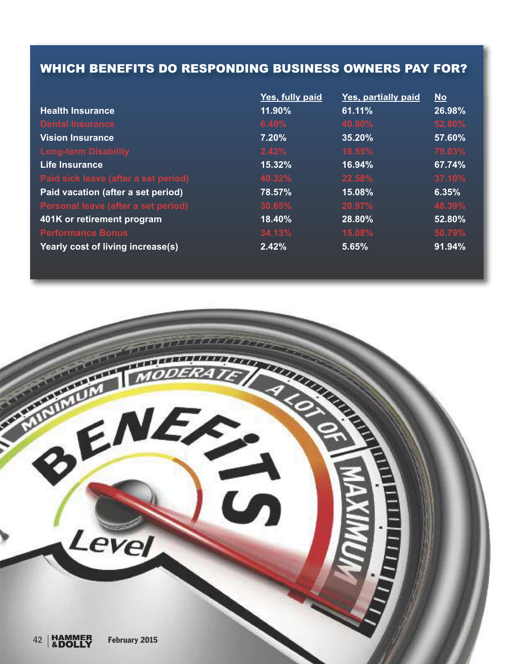### WHICH BENEFITS DO RESPONDING BUSINESS OWNERS PAY FOR?

|                                      | Yes, fully paid | Yes, partially paid | $No$   |
|--------------------------------------|-----------------|---------------------|--------|
| <b>Health Insurance</b>              | 11.90%          | 61.11%              | 26.98% |
| <b>Dental Insurance</b>              | 6.40%           | 40.80%              | 52.80% |
| <b>Vision Insurance</b>              | 7.20%           | 35.20%              | 57.60% |
| <b>Long-term Disability</b>          | 2.42%           | 18.55%              | 79.03% |
| Life Insurance                       | 15.32%          | 16.94%              | 67.74% |
| Paid sick leave (after a set period) | 40.32%          | 22.58%              | 37.10% |
| Paid vacation (after a set period)   | 78.57%          | 15.08%              | 6.35%  |
| Personal leave (after a set period)  | 30.65%          | 20.97%              | 48.39% |
| 401K or retirement program           | 18.40%          | 28.80%              | 52.80% |
| <b>Performance Bonus</b>             | 34.13%          | 15.08%              | 50.79% |
| Yearly cost of living increase(s)    | 2.42%           | 5.65%               | 91.94% |